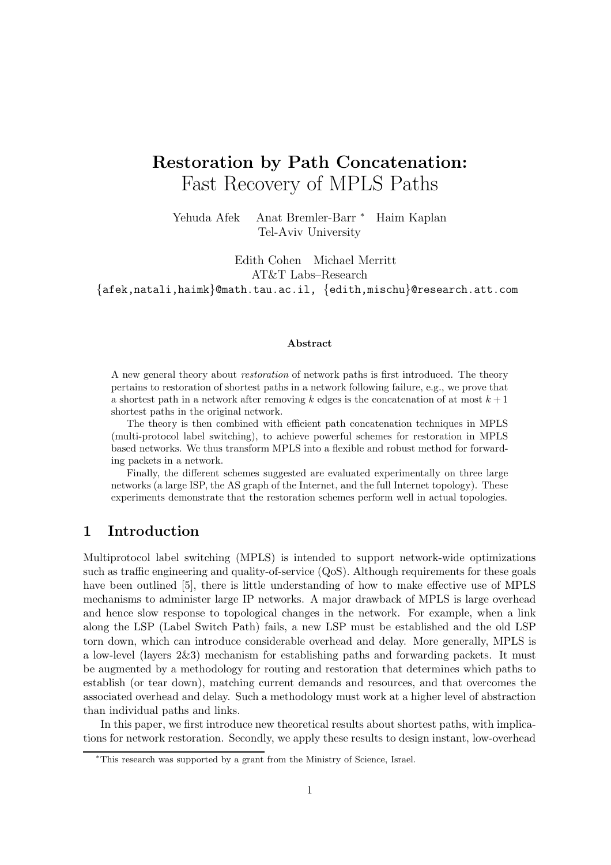# Restoration by Path Concatenation: Fast Recovery of MPLS Paths

Yehuda Afek Anat Bremler-Barr <sup>∗</sup> Haim Kaplan Tel-Aviv University

Edith Cohen Michael Merritt AT&T Labs–Research {afek,natali,haimk}@math.tau.ac.il, {edith,mischu}@research.att.com

#### Abstract

A new general theory about restoration of network paths is first introduced. The theory pertains to restoration of shortest paths in a network following failure, e.g., we prove that a shortest path in a network after removing k edges is the concatenation of at most  $k+1$ shortest paths in the original network.

The theory is then combined with efficient path concatenation techniques in MPLS (multi-protocol label switching), to achieve powerful schemes for restoration in MPLS based networks. We thus transform MPLS into a flexible and robust method for forwarding packets in a network.

Finally, the different schemes suggested are evaluated experimentally on three large networks (a large ISP, the AS graph of the Internet, and the full Internet topology). These experiments demonstrate that the restoration schemes perform well in actual topologies.

# 1 Introduction

Multiprotocol label switching (MPLS) is intended to support network-wide optimizations such as traffic engineering and quality-of-service (QoS). Although requirements for these goals have been outlined [5], there is little understanding of how to make effective use of MPLS mechanisms to administer large IP networks. A major drawback of MPLS is large overhead and hence slow response to topological changes in the network. For example, when a link along the LSP (Label Switch Path) fails, a new LSP must be established and the old LSP torn down, which can introduce considerable overhead and delay. More generally, MPLS is a low-level (layers 2&3) mechanism for establishing paths and forwarding packets. It must be augmented by a methodology for routing and restoration that determines which paths to establish (or tear down), matching current demands and resources, and that overcomes the associated overhead and delay. Such a methodology must work at a higher level of abstraction than individual paths and links.

In this paper, we first introduce new theoretical results about shortest paths, with implications for network restoration. Secondly, we apply these results to design instant, low-overhead

<sup>∗</sup>This research was supported by a grant from the Ministry of Science, Israel.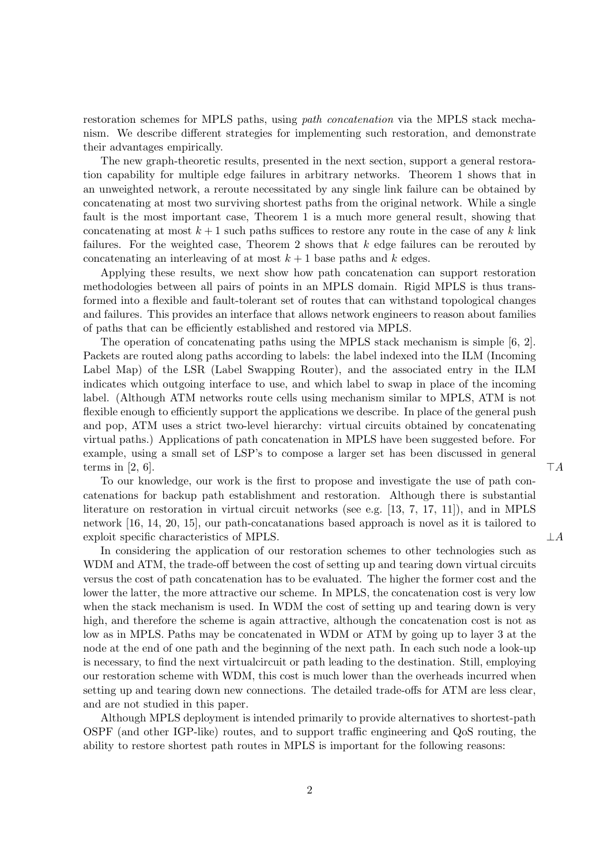restoration schemes for MPLS paths, using path concatenation via the MPLS stack mechanism. We describe different strategies for implementing such restoration, and demonstrate their advantages empirically.

The new graph-theoretic results, presented in the next section, support a general restoration capability for multiple edge failures in arbitrary networks. Theorem 1 shows that in an unweighted network, a reroute necessitated by any single link failure can be obtained by concatenating at most two surviving shortest paths from the original network. While a single fault is the most important case, Theorem 1 is a much more general result, showing that concatenating at most  $k + 1$  such paths suffices to restore any route in the case of any k link failures. For the weighted case, Theorem 2 shows that  $k$  edge failures can be rerouted by concatenating an interleaving of at most  $k + 1$  base paths and k edges.

Applying these results, we next show how path concatenation can support restoration methodologies between all pairs of points in an MPLS domain. Rigid MPLS is thus transformed into a flexible and fault-tolerant set of routes that can withstand topological changes and failures. This provides an interface that allows network engineers to reason about families of paths that can be efficiently established and restored via MPLS.

The operation of concatenating paths using the MPLS stack mechanism is simple  $[6, 2]$ . Packets are routed along paths according to labels: the label indexed into the ILM (Incoming Label Map) of the LSR (Label Swapping Router), and the associated entry in the ILM indicates which outgoing interface to use, and which label to swap in place of the incoming label. (Although ATM networks route cells using mechanism similar to MPLS, ATM is not flexible enough to efficiently support the applications we describe. In place of the general push and pop, ATM uses a strict two-level hierarchy: virtual circuits obtained by concatenating virtual paths.) Applications of path concatenation in MPLS have been suggested before. For example, using a small set of LSP's to compose a larger set has been discussed in general terms in [2, 6].  $\Box A$ 

To our knowledge, our work is the first to propose and investigate the use of path concatenations for backup path establishment and restoration. Although there is substantial literature on restoration in virtual circuit networks (see e.g. [13, 7, 17, 11]), and in MPLS network [16, 14, 20, 15], our path-concatanations based approach is novel as it is tailored to exploit specific characteristics of MPLS.  $\perp A$ 

In considering the application of our restoration schemes to other technologies such as WDM and ATM, the trade-off between the cost of setting up and tearing down virtual circuits versus the cost of path concatenation has to be evaluated. The higher the former cost and the lower the latter, the more attractive our scheme. In MPLS, the concatenation cost is very low when the stack mechanism is used. In WDM the cost of setting up and tearing down is very high, and therefore the scheme is again attractive, although the concatenation cost is not as low as in MPLS. Paths may be concatenated in WDM or ATM by going up to layer 3 at the node at the end of one path and the beginning of the next path. In each such node a look-up is necessary, to find the next virtualcircuit or path leading to the destination. Still, employing our restoration scheme with WDM, this cost is much lower than the overheads incurred when setting up and tearing down new connections. The detailed trade-offs for ATM are less clear, and are not studied in this paper.

Although MPLS deployment is intended primarily to provide alternatives to shortest-path OSPF (and other IGP-like) routes, and to support traffic engineering and QoS routing, the ability to restore shortest path routes in MPLS is important for the following reasons: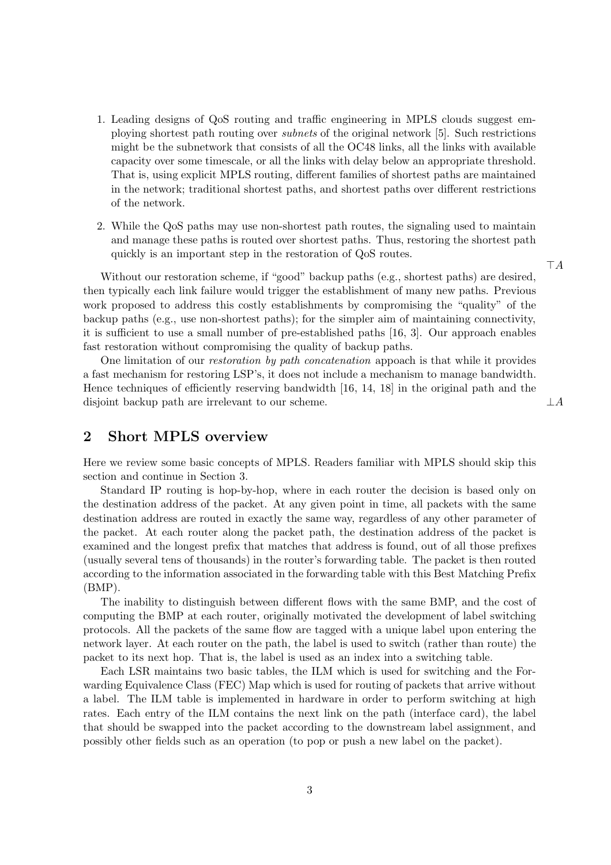- 1. Leading designs of QoS routing and traffic engineering in MPLS clouds suggest employing shortest path routing over subnets of the original network [5]. Such restrictions might be the subnetwork that consists of all the OC48 links, all the links with available capacity over some timescale, or all the links with delay below an appropriate threshold. That is, using explicit MPLS routing, different families of shortest paths are maintained in the network; traditional shortest paths, and shortest paths over different restrictions of the network.
- 2. While the QoS paths may use non-shortest path routes, the signaling used to maintain and manage these paths is routed over shortest paths. Thus, restoring the shortest path quickly is an important step in the restoration of QoS routes.

Without our restoration scheme, if "good" backup paths (e.g., shortest paths) are desired, then typically each link failure would trigger the establishment of many new paths. Previous work proposed to address this costly establishments by compromising the "quality" of the backup paths (e.g., use non-shortest paths); for the simpler aim of maintaining connectivity, it is sufficient to use a small number of pre-established paths [16, 3]. Our approach enables fast restoration without compromising the quality of backup paths.

One limitation of our restoration by path concatenation appoach is that while it provides a fast mechanism for restoring LSP's, it does not include a mechanism to manage bandwidth. Hence techniques of efficiently reserving bandwidth [16, 14, 18] in the original path and the disjoint backup path are irrelevant to our scheme.  $\perp A$ 

# 2 Short MPLS overview

Here we review some basic concepts of MPLS. Readers familiar with MPLS should skip this section and continue in Section 3.

Standard IP routing is hop-by-hop, where in each router the decision is based only on the destination address of the packet. At any given point in time, all packets with the same destination address are routed in exactly the same way, regardless of any other parameter of the packet. At each router along the packet path, the destination address of the packet is examined and the longest prefix that matches that address is found, out of all those prefixes (usually several tens of thousands) in the router's forwarding table. The packet is then routed according to the information associated in the forwarding table with this Best Matching Prefix  $(BMP)$ .

The inability to distinguish between different flows with the same BMP, and the cost of computing the BMP at each router, originally motivated the development of label switching protocols. All the packets of the same flow are tagged with a unique label upon entering the network layer. At each router on the path, the label is used to switch (rather than route) the packet to its next hop. That is, the label is used as an index into a switching table.

Each LSR maintains two basic tables, the ILM which is used for switching and the Forwarding Equivalence Class (FEC) Map which is used for routing of packets that arrive without a label. The ILM table is implemented in hardware in order to perform switching at high rates. Each entry of the ILM contains the next link on the path (interface card), the label that should be swapped into the packet according to the downstream label assignment, and possibly other fields such as an operation (to pop or push a new label on the packet).

3

⊤A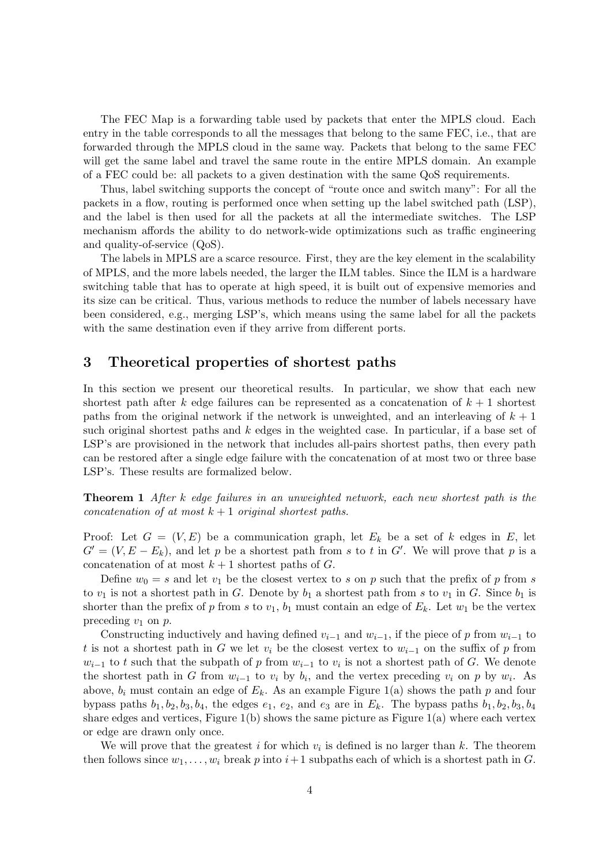The FEC Map is a forwarding table used by packets that enter the MPLS cloud. Each entry in the table corresponds to all the messages that belong to the same FEC, i.e., that are forwarded through the MPLS cloud in the same way. Packets that belong to the same FEC will get the same label and travel the same route in the entire MPLS domain. An example of a FEC could be: all packets to a given destination with the same QoS requirements.

Thus, label switching supports the concept of "route once and switch many": For all the packets in a flow, routing is performed once when setting up the label switched path (LSP), and the label is then used for all the packets at all the intermediate switches. The LSP mechanism affords the ability to do network-wide optimizations such as traffic engineering and quality-of-service (QoS).

The labels in MPLS are a scarce resource. First, they are the key element in the scalability of MPLS, and the more labels needed, the larger the ILM tables. Since the ILM is a hardware switching table that has to operate at high speed, it is built out of expensive memories and its size can be critical. Thus, various methods to reduce the number of labels necessary have been considered, e.g., merging LSP's, which means using the same label for all the packets with the same destination even if they arrive from different ports.

### 3 Theoretical properties of shortest paths

In this section we present our theoretical results. In particular, we show that each new shortest path after k edge failures can be represented as a concatenation of  $k + 1$  shortest paths from the original network if the network is unweighted, and an interleaving of  $k + 1$ such original shortest paths and  $k$  edges in the weighted case. In particular, if a base set of LSP's are provisioned in the network that includes all-pairs shortest paths, then every path can be restored after a single edge failure with the concatenation of at most two or three base LSP's. These results are formalized below.

Theorem 1 After k edge failures in an unweighted network, each new shortest path is the concatenation of at most  $k + 1$  original shortest paths.

Proof: Let  $G = (V, E)$  be a communication graph, let  $E_k$  be a set of k edges in E, let  $G' = (V, E - E_k)$ , and let p be a shortest path from s to t in G'. We will prove that p is a concatenation of at most  $k+1$  shortest paths of G.

Define  $w_0 = s$  and let  $v_1$  be the closest vertex to s on p such that the prefix of p from s to  $v_1$  is not a shortest path in G. Denote by  $b_1$  a shortest path from s to  $v_1$  in G. Since  $b_1$  is shorter than the prefix of p from s to  $v_1$ ,  $b_1$  must contain an edge of  $E_k$ . Let  $w_1$  be the vertex preceding  $v_1$  on  $p$ .

Constructing inductively and having defined  $v_{i-1}$  and  $w_{i-1}$ , if the piece of p from  $w_{i-1}$  to t is not a shortest path in G we let  $v_i$  be the closest vertex to  $w_{i-1}$  on the suffix of p from  $w_{i-1}$  to t such that the subpath of p from  $w_{i-1}$  to  $v_i$  is not a shortest path of G. We denote the shortest path in G from  $w_{i-1}$  to  $v_i$  by  $b_i$ , and the vertex preceding  $v_i$  on p by  $w_i$ . As above,  $b_i$  must contain an edge of  $E_k$ . As an example Figure 1(a) shows the path p and four bypass paths  $b_1$ ,  $b_2$ ,  $b_3$ ,  $b_4$ , the edges  $e_1$ ,  $e_2$ , and  $e_3$  are in  $E_k$ . The bypass paths  $b_1$ ,  $b_2$ ,  $b_3$ ,  $b_4$ share edges and vertices, Figure 1(b) shows the same picture as Figure 1(a) where each vertex or edge are drawn only once.

We will prove that the greatest *i* for which  $v_i$  is defined is no larger than  $k$ . The theorem then follows since  $w_1, \ldots, w_i$  break p into  $i+1$  subpaths each of which is a shortest path in G.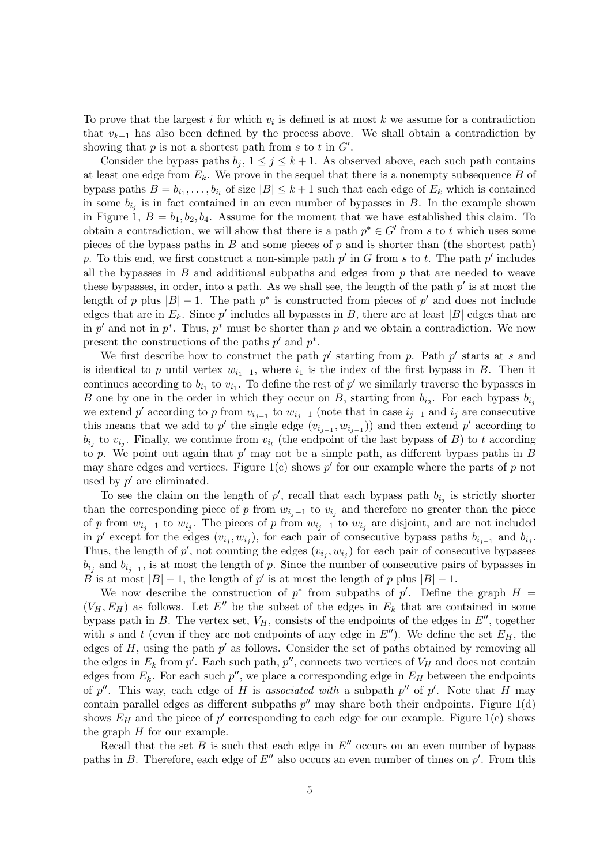To prove that the largest i for which  $v_i$  is defined is at most k we assume for a contradiction that  $v_{k+1}$  has also been defined by the process above. We shall obtain a contradiction by showing that p is not a shortest path from s to t in  $G'$ .

Consider the bypass paths  $b_j$ ,  $1 \leq j \leq k+1$ . As observed above, each such path contains at least one edge from  $E_k$ . We prove in the sequel that there is a nonempty subsequence B of by pass paths  $B = b_{i_1}, \ldots, b_{i_l}$  of size  $|B| \leq k+1$  such that each edge of  $E_k$  which is contained in some  $b_{i_j}$  is in fact contained in an even number of bypasses in B. In the example shown in Figure 1,  $B = b_1, b_2, b_4$ . Assume for the moment that we have established this claim. To obtain a contradiction, we will show that there is a path  $p^* \in G'$  from s to t which uses some pieces of the bypass paths in B and some pieces of p and is shorter than (the shortest path) p. To this end, we first construct a non-simple path  $p'$  in G from s to t. The path  $p'$  includes all the bypasses in  $B$  and additional subpaths and edges from  $p$  that are needed to weave these bypasses, in order, into a path. As we shall see, the length of the path  $p'$  is at most the length of p plus  $|B| - 1$ . The path p<sup>\*</sup> is constructed from pieces of p' and does not include edges that are in  $E_k$ . Since p' includes all bypasses in B, there are at least |B| edges that are in  $p'$  and not in  $p^*$ . Thus,  $p^*$  must be shorter than p and we obtain a contradiction. We now present the constructions of the paths  $p'$  and  $p^*$ .

We first describe how to construct the path  $p'$  starting from p. Path  $p'$  starts at s and is identical to p until vertex  $w_{i_1-1}$ , where  $i_1$  is the index of the first bypass in B. Then it continues according to  $b_{i_1}$  to  $v_{i_1}$ . To define the rest of p' we similarly traverse the bypasses in B one by one in the order in which they occur on B, starting from  $b_{i_2}$ . For each bypass  $b_{i_j}$ we extend p' according to p from  $v_{i_{j-1}}$  to  $w_{i_j-1}$  (note that in case  $i_{j-1}$  and  $i_j$  are consecutive this means that we add to p' the single edge  $(v_{i_{j-1}}, w_{i_{j-1}})$  and then extend p' according to  $b_{i_j}$  to  $v_{i_j}$ . Finally, we continue from  $v_{i_l}$  (the endpoint of the last bypass of B) to t according to p. We point out again that p' may not be a simple path, as different bypass paths in  $\overrightarrow{B}$ may share edges and vertices. Figure  $1(c)$  shows p' for our example where the parts of p not used by  $p'$  are eliminated.

To see the claim on the length of  $p'$ , recall that each bypass path  $b_{i_j}$  is strictly shorter than the corresponding piece of p from  $w_{i_j-1}$  to  $v_{i_j}$  and therefore no greater than the piece of p from  $w_{i_j-1}$  to  $w_{i_j}$ . The pieces of p from  $w_{i_j-1}$  to  $w_{i_j}$  are disjoint, and are not included in p' except for the edges  $(v_{i_j}, w_{i_j})$ , for each pair of consecutive bypass paths  $b_{i_{j-1}}$  and  $b_{i_j}$ . Thus, the length of p', not counting the edges  $(v_{i_j}, w_{i_j})$  for each pair of consecutive bypasses  $b_{i_j}$  and  $b_{i_{j-1}}$ , is at most the length of p. Since the number of consecutive pairs of bypasses in B is at most  $|B| - 1$ , the length of p' is at most the length of p plus  $|B| - 1$ .

We now describe the construction of  $p^*$  from subpaths of  $p'$ . Define the graph  $H =$  $(V_H, E_H)$  as follows. Let E'' be the subset of the edges in  $E_k$  that are contained in some bypass path in B. The vertex set,  $V_H$ , consists of the endpoints of the edges in  $E''$ , together with s and t (even if they are not endpoints of any edge in  $E''$ ). We define the set  $E_H$ , the edges of  $H$ , using the path  $p'$  as follows. Consider the set of paths obtained by removing all the edges in  $E_k$  from  $p'$ . Each such path,  $p''$ , connects two vertices of  $V_H$  and does not contain edges from  $E_k$ . For each such p'', we place a corresponding edge in  $E_H$  between the endpoints of p'. This way, each edge of H is associated with a subpath p'' of p'. Note that H may contain parallel edges as different subpaths  $p''$  may share both their endpoints. Figure 1(d) shows  $E_H$  and the piece of p' corresponding to each edge for our example. Figure 1(e) shows the graph  $H$  for our example.

Recall that the set B is such that each edge in  $E''$  occurs on an even number of bypass paths in B. Therefore, each edge of  $E''$  also occurs an even number of times on  $p'$ . From this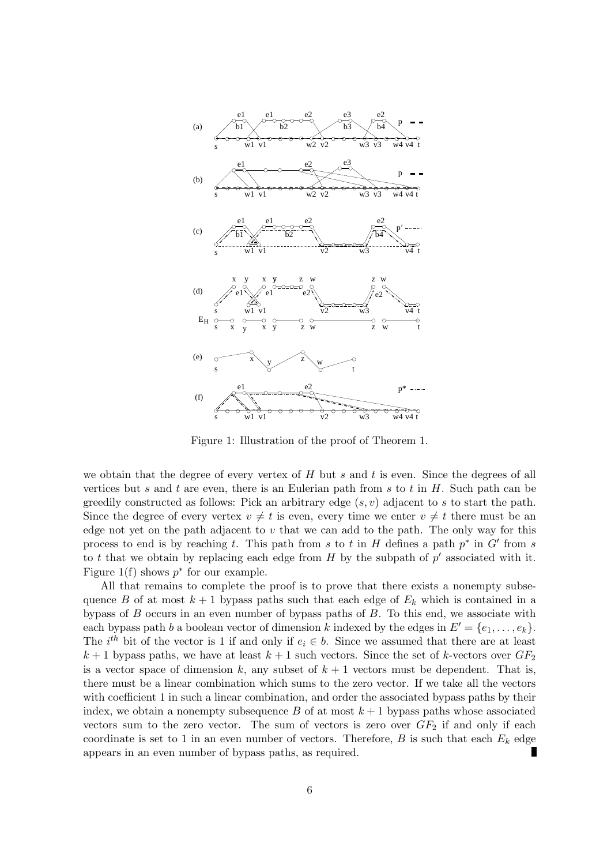

Figure 1: Illustration of the proof of Theorem 1.

we obtain that the degree of every vertex of  $H$  but s and t is even. Since the degrees of all vertices but s and t are even, there is an Eulerian path from s to t in  $H$ . Such path can be greedily constructed as follows: Pick an arbitrary edge  $(s, v)$  adjacent to s to start the path. Since the degree of every vertex  $v \neq t$  is even, every time we enter  $v \neq t$  there must be an edge not yet on the path adjacent to  $v$  that we can add to the path. The only way for this process to end is by reaching t. This path from s to t in H defines a path  $p^*$  in  $G'$  from s to t that we obtain by replacing each edge from H by the subpath of  $p'$  associated with it. Figure 1(f) shows  $p^*$  for our example.

All that remains to complete the proof is to prove that there exists a nonempty subsequence B of at most  $k + 1$  bypass paths such that each edge of  $E_k$  which is contained in a bypass of  $B$  occurs in an even number of bypass paths of  $B$ . To this end, we associate with each bypass path b a boolean vector of dimension k indexed by the edges in  $E' = \{e_1, \ldots, e_k\}.$ The  $i^{th}$  bit of the vector is 1 if and only if  $e_i \in b$ . Since we assumed that there are at least  $k+1$  bypass paths, we have at least  $k+1$  such vectors. Since the set of k-vectors over  $GF_2$ is a vector space of dimension k, any subset of  $k + 1$  vectors must be dependent. That is, there must be a linear combination which sums to the zero vector. If we take all the vectors with coefficient 1 in such a linear combination, and order the associated bypass paths by their index, we obtain a nonempty subsequence B of at most  $k+1$  bypass paths whose associated vectors sum to the zero vector. The sum of vectors is zero over  $GF<sub>2</sub>$  if and only if each coordinate is set to 1 in an even number of vectors. Therefore,  $B$  is such that each  $E_k$  edge appears in an even number of bypass paths, as required. П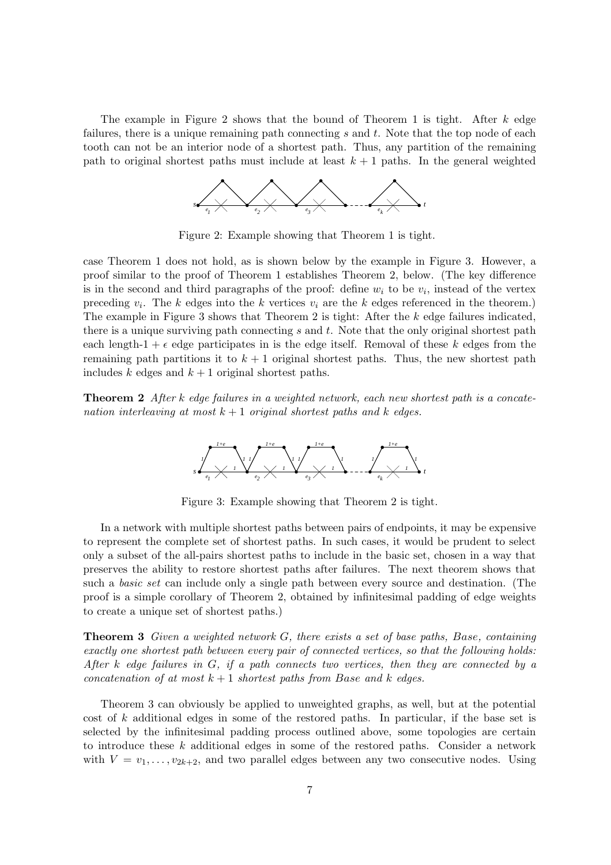The example in Figure 2 shows that the bound of Theorem 1 is tight. After  $k$  edge failures, there is a unique remaining path connecting  $s$  and  $t$ . Note that the top node of each tooth can not be an interior node of a shortest path. Thus, any partition of the remaining path to original shortest paths must include at least  $k + 1$  paths. In the general weighted



Figure 2: Example showing that Theorem 1 is tight.

case Theorem 1 does not hold, as is shown below by the example in Figure 3. However, a proof similar to the proof of Theorem 1 establishes Theorem 2, below. (The key difference is in the second and third paragraphs of the proof: define  $w_i$  to be  $v_i$ , instead of the vertex preceding  $v_i$ . The k edges into the k vertices  $v_i$  are the k edges referenced in the theorem.) The example in Figure 3 shows that Theorem 2 is tight: After the k edge failures indicated, there is a unique surviving path connecting  $s$  and  $t$ . Note that the only original shortest path each length-1 +  $\epsilon$  edge participates in is the edge itself. Removal of these k edges from the remaining path partitions it to  $k + 1$  original shortest paths. Thus, the new shortest path includes k edges and  $k + 1$  original shortest paths.

Theorem 2 After k edge failures in a weighted network, each new shortest path is a concatenation interleaving at most  $k + 1$  original shortest paths and  $k$  edges.



Figure 3: Example showing that Theorem 2 is tight.

In a network with multiple shortest paths between pairs of endpoints, it may be expensive to represent the complete set of shortest paths. In such cases, it would be prudent to select only a subset of the all-pairs shortest paths to include in the basic set, chosen in a way that preserves the ability to restore shortest paths after failures. The next theorem shows that such a basic set can include only a single path between every source and destination. (The proof is a simple corollary of Theorem 2, obtained by infinitesimal padding of edge weights to create a unique set of shortest paths.)

Theorem 3 Given a weighted network G, there exists a set of base paths, Base, containing exactly one shortest path between every pair of connected vertices, so that the following holds: After k edge failures in  $G$ , if a path connects two vertices, then they are connected by a concatenation of at most  $k + 1$  shortest paths from Base and k edges.

Theorem 3 can obviously be applied to unweighted graphs, as well, but at the potential cost of k additional edges in some of the restored paths. In particular, if the base set is selected by the infinitesimal padding process outlined above, some topologies are certain to introduce these  $k$  additional edges in some of the restored paths. Consider a network with  $V = v_1, \ldots, v_{2k+2}$ , and two parallel edges between any two consecutive nodes. Using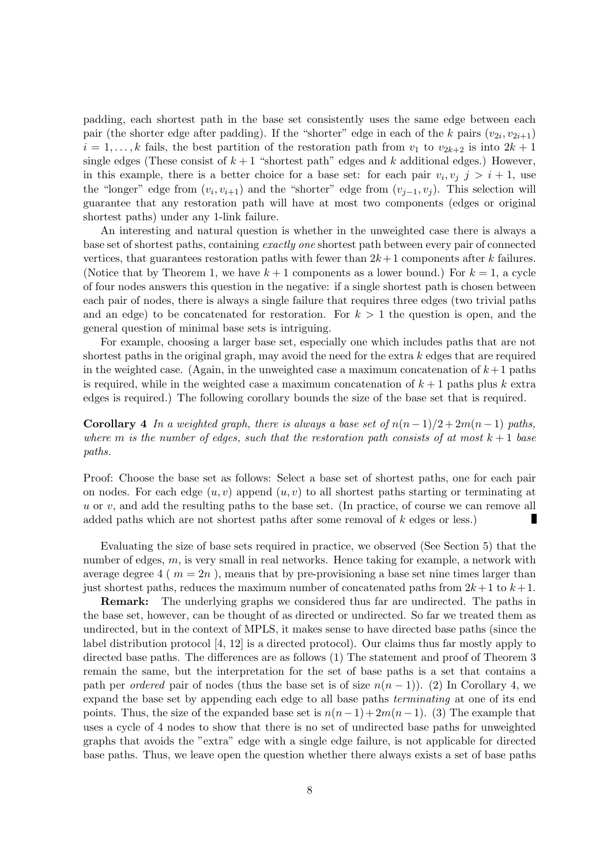padding, each shortest path in the base set consistently uses the same edge between each pair (the shorter edge after padding). If the "shorter" edge in each of the k pairs  $(v_{2i}, v_{2i+1})$  $i = 1, \ldots, k$  fails, the best partition of the restoration path from  $v_1$  to  $v_{2k+2}$  is into  $2k+1$ single edges (These consist of  $k + 1$  "shortest path" edges and k additional edges.) However, in this example, there is a better choice for a base set: for each pair  $v_i, v_j \, j > i + 1$ , use the "longer" edge from  $(v_i, v_{i+1})$  and the "shorter" edge from  $(v_{j-1}, v_j)$ . This selection will guarantee that any restoration path will have at most two components (edges or original shortest paths) under any 1-link failure.

An interesting and natural question is whether in the unweighted case there is always a base set of shortest paths, containing exactly one shortest path between every pair of connected vertices, that guarantees restoration paths with fewer than  $2k+1$  components after k failures. (Notice that by Theorem 1, we have  $k+1$  components as a lower bound.) For  $k=1$ , a cycle of four nodes answers this question in the negative: if a single shortest path is chosen between each pair of nodes, there is always a single failure that requires three edges (two trivial paths and an edge) to be concatenated for restoration. For  $k > 1$  the question is open, and the general question of minimal base sets is intriguing.

For example, choosing a larger base set, especially one which includes paths that are not shortest paths in the original graph, may avoid the need for the extra  $k$  edges that are required in the weighted case. (Again, in the unweighted case a maximum concatenation of  $k+1$  paths is required, while in the weighted case a maximum concatenation of  $k + 1$  paths plus k extra edges is required.) The following corollary bounds the size of the base set that is required.

**Corollary 4** In a weighted graph, there is always a base set of  $n(n-1)/2 + 2m(n-1)$  paths, where m is the number of edges, such that the restoration path consists of at most  $k+1$  base paths.

Proof: Choose the base set as follows: Select a base set of shortest paths, one for each pair on nodes. For each edge  $(u, v)$  append  $(u, v)$  to all shortest paths starting or terminating at u or v, and add the resulting paths to the base set. (In practice, of course we can remove all added paths which are not shortest paths after some removal of k edges or less.) г

Evaluating the size of base sets required in practice, we observed (See Section 5) that the number of edges, m, is very small in real networks. Hence taking for example, a network with average degree 4 ( $m = 2n$ ), means that by pre-provisioning a base set nine times larger than just shortest paths, reduces the maximum number of concatenated paths from  $2k+1$  to  $k+1$ .

Remark: The underlying graphs we considered thus far are undirected. The paths in the base set, however, can be thought of as directed or undirected. So far we treated them as undirected, but in the context of MPLS, it makes sense to have directed base paths (since the label distribution protocol [4, 12] is a directed protocol). Our claims thus far mostly apply to directed base paths. The differences are as follows (1) The statement and proof of Theorem 3 remain the same, but the interpretation for the set of base paths is a set that contains a path per *ordered* pair of nodes (thus the base set is of size  $n(n - 1)$ ). (2) In Corollary 4, we expand the base set by appending each edge to all base paths terminating at one of its end points. Thus, the size of the expanded base set is  $n(n-1)+2m(n-1)$ . (3) The example that uses a cycle of 4 nodes to show that there is no set of undirected base paths for unweighted graphs that avoids the "extra" edge with a single edge failure, is not applicable for directed base paths. Thus, we leave open the question whether there always exists a set of base paths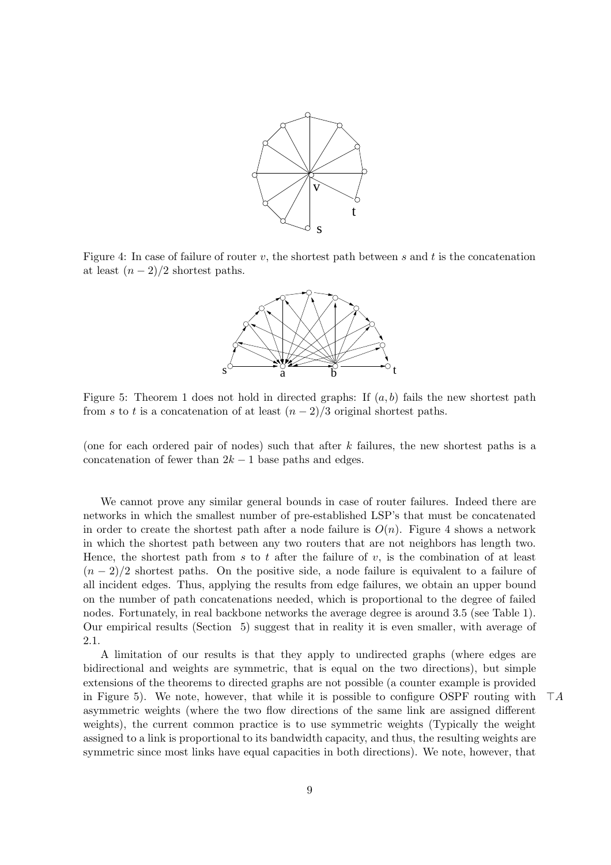

Figure 4: In case of failure of router  $v$ , the shortest path between  $s$  and  $t$  is the concatenation at least  $(n-2)/2$  shortest paths.



Figure 5: Theorem 1 does not hold in directed graphs: If  $(a, b)$  fails the new shortest path from s to t is a concatenation of at least  $(n-2)/3$  original shortest paths.

(one for each ordered pair of nodes) such that after  $k$  failures, the new shortest paths is a concatenation of fewer than  $2k - 1$  base paths and edges.

We cannot prove any similar general bounds in case of router failures. Indeed there are networks in which the smallest number of pre-established LSP's that must be concatenated in order to create the shortest path after a node failure is  $O(n)$ . Figure 4 shows a network in which the shortest path between any two routers that are not neighbors has length two. Hence, the shortest path from  $s$  to  $t$  after the failure of  $v$ , is the combination of at least  $(n-2)/2$  shortest paths. On the positive side, a node failure is equivalent to a failure of all incident edges. Thus, applying the results from edge failures, we obtain an upper bound on the number of path concatenations needed, which is proportional to the degree of failed nodes. Fortunately, in real backbone networks the average degree is around 3.5 (see Table 1). Our empirical results (Section 5) suggest that in reality it is even smaller, with average of 2.1.

A limitation of our results is that they apply to undirected graphs (where edges are bidirectional and weights are symmetric, that is equal on the two directions), but simple extensions of the theorems to directed graphs are not possible (a counter example is provided in Figure 5). We note, however, that while it is possible to configure OSPF routing with  $\top A$ asymmetric weights (where the two flow directions of the same link are assigned different weights), the current common practice is to use symmetric weights (Typically the weight assigned to a link is proportional to its bandwidth capacity, and thus, the resulting weights are symmetric since most links have equal capacities in both directions). We note, however, that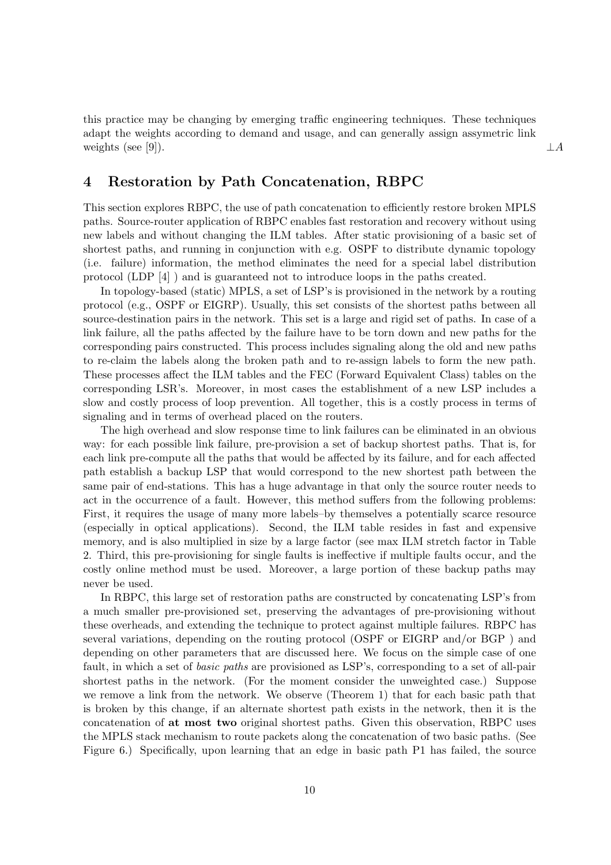this practice may be changing by emerging traffic engineering techniques. These techniques adapt the weights according to demand and usage, and can generally assign assymetric link weights (see [9]).  $\perp A$ 

# 4 Restoration by Path Concatenation, RBPC

This section explores RBPC, the use of path concatenation to efficiently restore broken MPLS paths. Source-router application of RBPC enables fast restoration and recovery without using new labels and without changing the ILM tables. After static provisioning of a basic set of shortest paths, and running in conjunction with e.g. OSPF to distribute dynamic topology (i.e. failure) information, the method eliminates the need for a special label distribution protocol (LDP [4] ) and is guaranteed not to introduce loops in the paths created.

In topology-based (static) MPLS, a set of LSP's is provisioned in the network by a routing protocol (e.g., OSPF or EIGRP). Usually, this set consists of the shortest paths between all source-destination pairs in the network. This set is a large and rigid set of paths. In case of a link failure, all the paths affected by the failure have to be torn down and new paths for the corresponding pairs constructed. This process includes signaling along the old and new paths to re-claim the labels along the broken path and to re-assign labels to form the new path. These processes affect the ILM tables and the FEC (Forward Equivalent Class) tables on the corresponding LSR's. Moreover, in most cases the establishment of a new LSP includes a slow and costly process of loop prevention. All together, this is a costly process in terms of signaling and in terms of overhead placed on the routers.

The high overhead and slow response time to link failures can be eliminated in an obvious way: for each possible link failure, pre-provision a set of backup shortest paths. That is, for each link pre-compute all the paths that would be affected by its failure, and for each affected path establish a backup LSP that would correspond to the new shortest path between the same pair of end-stations. This has a huge advantage in that only the source router needs to act in the occurrence of a fault. However, this method suffers from the following problems: First, it requires the usage of many more labels–by themselves a potentially scarce resource (especially in optical applications). Second, the ILM table resides in fast and expensive memory, and is also multiplied in size by a large factor (see max ILM stretch factor in Table 2. Third, this pre-provisioning for single faults is ineffective if multiple faults occur, and the costly online method must be used. Moreover, a large portion of these backup paths may never be used.

In RBPC, this large set of restoration paths are constructed by concatenating LSP's from a much smaller pre-provisioned set, preserving the advantages of pre-provisioning without these overheads, and extending the technique to protect against multiple failures. RBPC has several variations, depending on the routing protocol (OSPF or EIGRP and/or BGP ) and depending on other parameters that are discussed here. We focus on the simple case of one fault, in which a set of basic paths are provisioned as LSP's, corresponding to a set of all-pair shortest paths in the network. (For the moment consider the unweighted case.) Suppose we remove a link from the network. We observe (Theorem 1) that for each basic path that is broken by this change, if an alternate shortest path exists in the network, then it is the concatenation of at most two original shortest paths. Given this observation, RBPC uses the MPLS stack mechanism to route packets along the concatenation of two basic paths. (See Figure 6.) Specifically, upon learning that an edge in basic path P1 has failed, the source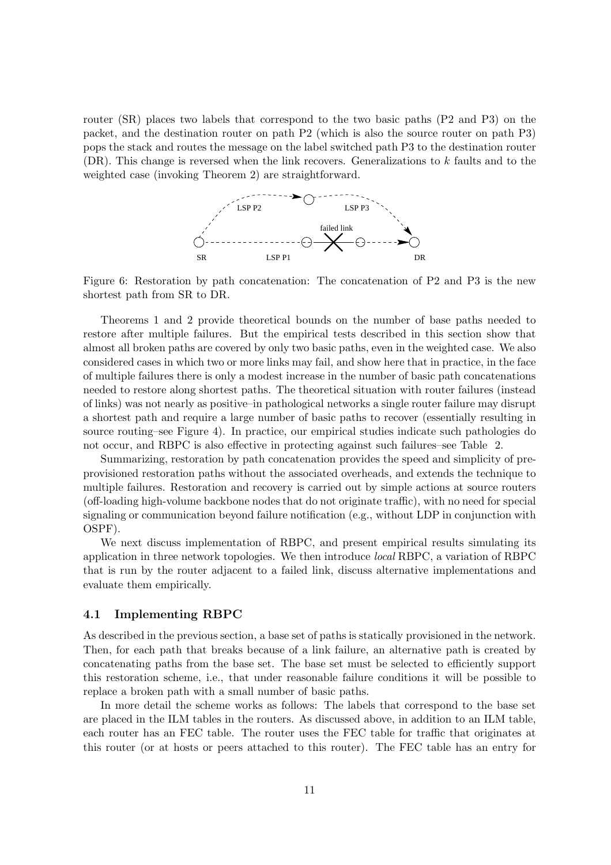router (SR) places two labels that correspond to the two basic paths (P2 and P3) on the packet, and the destination router on path P2 (which is also the source router on path P3) pops the stack and routes the message on the label switched path P3 to the destination router (DR). This change is reversed when the link recovers. Generalizations to k faults and to the weighted case (invoking Theorem 2) are straightforward.



Figure 6: Restoration by path concatenation: The concatenation of P2 and P3 is the new shortest path from SR to DR.

Theorems 1 and 2 provide theoretical bounds on the number of base paths needed to restore after multiple failures. But the empirical tests described in this section show that almost all broken paths are covered by only two basic paths, even in the weighted case. We also considered cases in which two or more links may fail, and show here that in practice, in the face of multiple failures there is only a modest increase in the number of basic path concatenations needed to restore along shortest paths. The theoretical situation with router failures (instead of links) was not nearly as positive–in pathological networks a single router failure may disrupt a shortest path and require a large number of basic paths to recover (essentially resulting in source routing–see Figure 4). In practice, our empirical studies indicate such pathologies do not occur, and RBPC is also effective in protecting against such failures–see Table 2.

Summarizing, restoration by path concatenation provides the speed and simplicity of preprovisioned restoration paths without the associated overheads, and extends the technique to multiple failures. Restoration and recovery is carried out by simple actions at source routers (off-loading high-volume backbone nodes that do not originate traffic), with no need for special signaling or communication beyond failure notification (e.g., without LDP in conjunction with OSPF).

We next discuss implementation of RBPC, and present empirical results simulating its application in three network topologies. We then introduce local RBPC, a variation of RBPC that is run by the router adjacent to a failed link, discuss alternative implementations and evaluate them empirically.

#### 4.1 Implementing RBPC

As described in the previous section, a base set of paths is statically provisioned in the network. Then, for each path that breaks because of a link failure, an alternative path is created by concatenating paths from the base set. The base set must be selected to efficiently support this restoration scheme, i.e., that under reasonable failure conditions it will be possible to replace a broken path with a small number of basic paths.

In more detail the scheme works as follows: The labels that correspond to the base set are placed in the ILM tables in the routers. As discussed above, in addition to an ILM table, each router has an FEC table. The router uses the FEC table for traffic that originates at this router (or at hosts or peers attached to this router). The FEC table has an entry for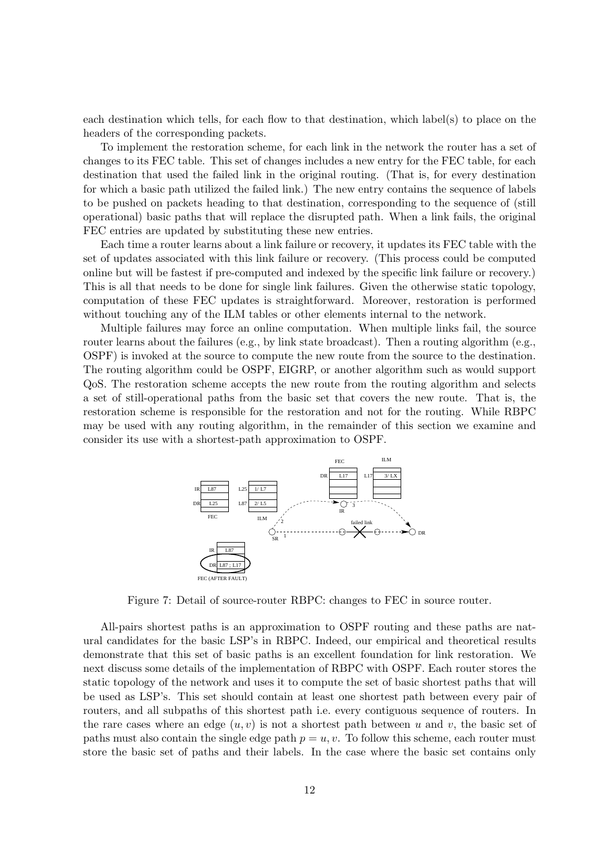each destination which tells, for each flow to that destination, which label(s) to place on the headers of the corresponding packets.

To implement the restoration scheme, for each link in the network the router has a set of changes to its FEC table. This set of changes includes a new entry for the FEC table, for each destination that used the failed link in the original routing. (That is, for every destination for which a basic path utilized the failed link.) The new entry contains the sequence of labels to be pushed on packets heading to that destination, corresponding to the sequence of (still operational) basic paths that will replace the disrupted path. When a link fails, the original FEC entries are updated by substituting these new entries.

Each time a router learns about a link failure or recovery, it updates its FEC table with the set of updates associated with this link failure or recovery. (This process could be computed online but will be fastest if pre-computed and indexed by the specific link failure or recovery.) This is all that needs to be done for single link failures. Given the otherwise static topology, computation of these FEC updates is straightforward. Moreover, restoration is performed without touching any of the ILM tables or other elements internal to the network.

Multiple failures may force an online computation. When multiple links fail, the source router learns about the failures (e.g., by link state broadcast). Then a routing algorithm (e.g., OSPF) is invoked at the source to compute the new route from the source to the destination. The routing algorithm could be OSPF, EIGRP, or another algorithm such as would support QoS. The restoration scheme accepts the new route from the routing algorithm and selects a set of still-operational paths from the basic set that covers the new route. That is, the restoration scheme is responsible for the restoration and not for the routing. While RBPC may be used with any routing algorithm, in the remainder of this section we examine and consider its use with a shortest-path approximation to OSPF.



Figure 7: Detail of source-router RBPC: changes to FEC in source router.

All-pairs shortest paths is an approximation to OSPF routing and these paths are natural candidates for the basic LSP's in RBPC. Indeed, our empirical and theoretical results demonstrate that this set of basic paths is an excellent foundation for link restoration. We next discuss some details of the implementation of RBPC with OSPF. Each router stores the static topology of the network and uses it to compute the set of basic shortest paths that will be used as LSP's. This set should contain at least one shortest path between every pair of routers, and all subpaths of this shortest path i.e. every contiguous sequence of routers. In the rare cases where an edge  $(u, v)$  is not a shortest path between u and v, the basic set of paths must also contain the single edge path  $p = u, v$ . To follow this scheme, each router must store the basic set of paths and their labels. In the case where the basic set contains only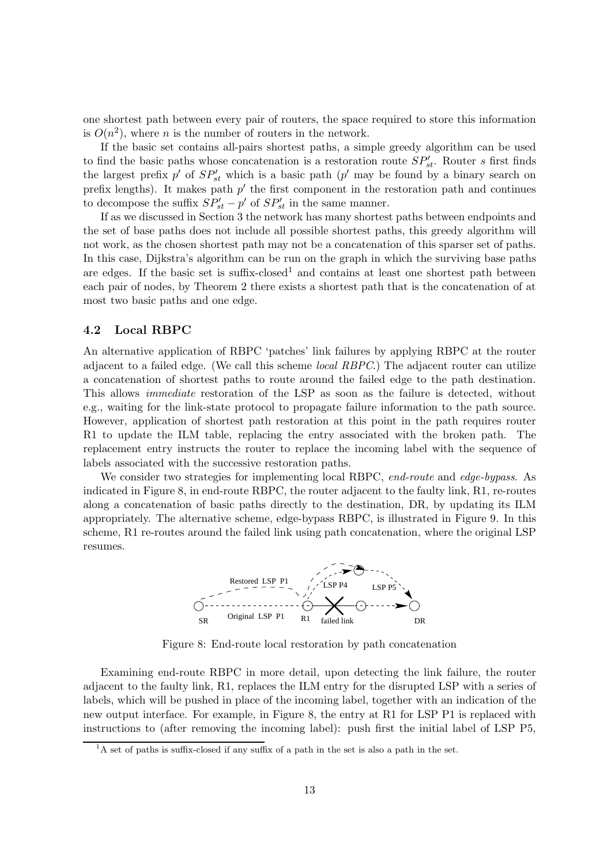one shortest path between every pair of routers, the space required to store this information is  $O(n^2)$ , where *n* is the number of routers in the network.

If the basic set contains all-pairs shortest paths, a simple greedy algorithm can be used to find the basic paths whose concatenation is a restoration route  $SP'_{st}$ . Router s first finds the largest prefix  $p'$  of  $SP'_{st}$  which is a basic path  $(p'$  may be found by a binary search on prefix lengths). It makes path  $p'$  the first component in the restoration path and continues to decompose the suffix  $SP'_{st} - p'$  of  $SP'_{st}$  in the same manner.

If as we discussed in Section 3 the network has many shortest paths between endpoints and the set of base paths does not include all possible shortest paths, this greedy algorithm will not work, as the chosen shortest path may not be a concatenation of this sparser set of paths. In this case, Dijkstra's algorithm can be run on the graph in which the surviving base paths are edges. If the basic set is suffix-closed<sup>1</sup> and contains at least one shortest path between each pair of nodes, by Theorem 2 there exists a shortest path that is the concatenation of at most two basic paths and one edge.

### 4.2 Local RBPC

An alternative application of RBPC 'patches' link failures by applying RBPC at the router adjacent to a failed edge. (We call this scheme *local RBPC*.) The adjacent router can utilize a concatenation of shortest paths to route around the failed edge to the path destination. This allows immediate restoration of the LSP as soon as the failure is detected, without e.g., waiting for the link-state protocol to propagate failure information to the path source. However, application of shortest path restoration at this point in the path requires router R1 to update the ILM table, replacing the entry associated with the broken path. The replacement entry instructs the router to replace the incoming label with the sequence of labels associated with the successive restoration paths.

We consider two strategies for implementing local RBPC, end-route and edge-bypass. As indicated in Figure 8, in end-route RBPC, the router adjacent to the faulty link, R1, re-routes along a concatenation of basic paths directly to the destination, DR, by updating its ILM appropriately. The alternative scheme, edge-bypass RBPC, is illustrated in Figure 9. In this scheme, R1 re-routes around the failed link using path concatenation, where the original LSP resumes.



Figure 8: End-route local restoration by path concatenation

Examining end-route RBPC in more detail, upon detecting the link failure, the router adjacent to the faulty link, R1, replaces the ILM entry for the disrupted LSP with a series of labels, which will be pushed in place of the incoming label, together with an indication of the new output interface. For example, in Figure 8, the entry at R1 for LSP P1 is replaced with instructions to (after removing the incoming label): push first the initial label of LSP P5,

 ${}^{1}$ A set of paths is suffix-closed if any suffix of a path in the set is also a path in the set.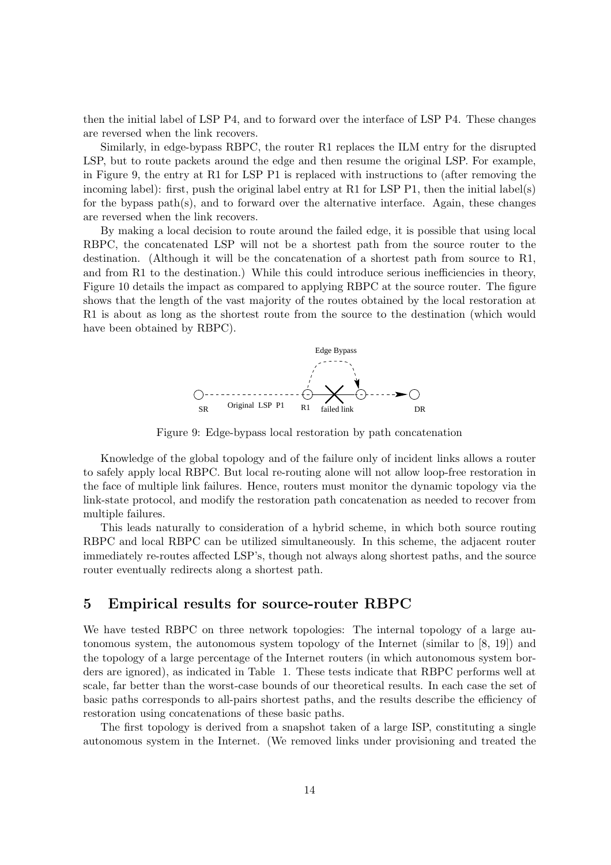then the initial label of LSP P4, and to forward over the interface of LSP P4. These changes are reversed when the link recovers.

Similarly, in edge-bypass RBPC, the router R1 replaces the ILM entry for the disrupted LSP, but to route packets around the edge and then resume the original LSP. For example, in Figure 9, the entry at R1 for LSP P1 is replaced with instructions to (after removing the incoming label): first, push the original label entry at R1 for LSP P1, then the initial label(s) for the bypass path(s), and to forward over the alternative interface. Again, these changes are reversed when the link recovers.

By making a local decision to route around the failed edge, it is possible that using local RBPC, the concatenated LSP will not be a shortest path from the source router to the destination. (Although it will be the concatenation of a shortest path from source to R1, and from R1 to the destination.) While this could introduce serious inefficiencies in theory, Figure 10 details the impact as compared to applying RBPC at the source router. The figure shows that the length of the vast majority of the routes obtained by the local restoration at R1 is about as long as the shortest route from the source to the destination (which would have been obtained by RBPC).



Figure 9: Edge-bypass local restoration by path concatenation

Knowledge of the global topology and of the failure only of incident links allows a router to safely apply local RBPC. But local re-routing alone will not allow loop-free restoration in the face of multiple link failures. Hence, routers must monitor the dynamic topology via the link-state protocol, and modify the restoration path concatenation as needed to recover from multiple failures.

This leads naturally to consideration of a hybrid scheme, in which both source routing RBPC and local RBPC can be utilized simultaneously. In this scheme, the adjacent router immediately re-routes affected LSP's, though not always along shortest paths, and the source router eventually redirects along a shortest path.

### 5 Empirical results for source-router RBPC

We have tested RBPC on three network topologies: The internal topology of a large autonomous system, the autonomous system topology of the Internet (similar to [8, 19]) and the topology of a large percentage of the Internet routers (in which autonomous system borders are ignored), as indicated in Table 1. These tests indicate that RBPC performs well at scale, far better than the worst-case bounds of our theoretical results. In each case the set of basic paths corresponds to all-pairs shortest paths, and the results describe the efficiency of restoration using concatenations of these basic paths.

The first topology is derived from a snapshot taken of a large ISP, constituting a single autonomous system in the Internet. (We removed links under provisioning and treated the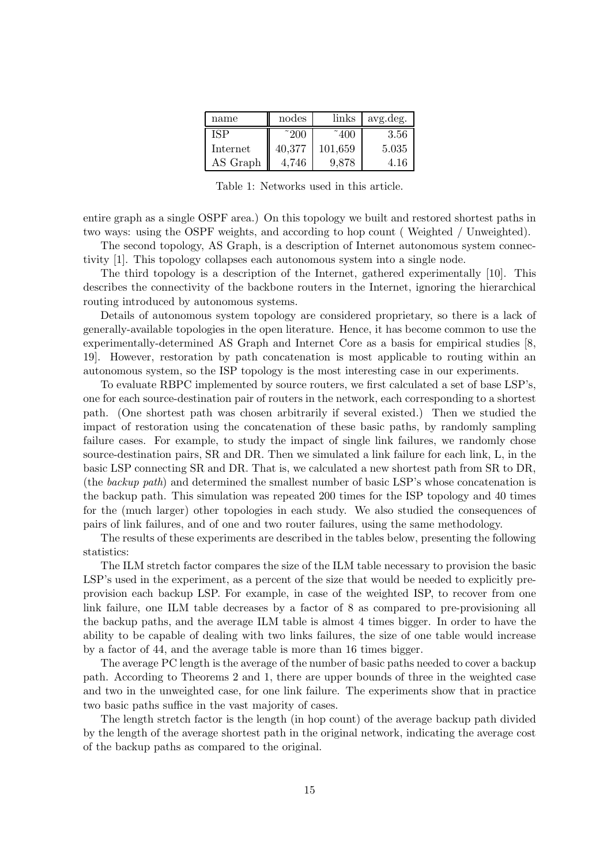| name     | nodes         | links           | avg.deg. |
|----------|---------------|-----------------|----------|
| ISP      | $\degree$ 200 | $\tilde{ }$ 400 | 3.56     |
| Internet | 40,377        | 101,659         | 5.035    |
| AS Graph | 4.746         | 9.878           | 4.16     |

Table 1: Networks used in this article.

entire graph as a single OSPF area.) On this topology we built and restored shortest paths in two ways: using the OSPF weights, and according to hop count ( Weighted / Unweighted).

The second topology, AS Graph, is a description of Internet autonomous system connectivity [1]. This topology collapses each autonomous system into a single node.

The third topology is a description of the Internet, gathered experimentally [10]. This describes the connectivity of the backbone routers in the Internet, ignoring the hierarchical routing introduced by autonomous systems.

Details of autonomous system topology are considered proprietary, so there is a lack of generally-available topologies in the open literature. Hence, it has become common to use the experimentally-determined AS Graph and Internet Core as a basis for empirical studies [8, 19]. However, restoration by path concatenation is most applicable to routing within an autonomous system, so the ISP topology is the most interesting case in our experiments.

To evaluate RBPC implemented by source routers, we first calculated a set of base LSP's, one for each source-destination pair of routers in the network, each corresponding to a shortest path. (One shortest path was chosen arbitrarily if several existed.) Then we studied the impact of restoration using the concatenation of these basic paths, by randomly sampling failure cases. For example, to study the impact of single link failures, we randomly chose source-destination pairs, SR and DR. Then we simulated a link failure for each link, L, in the basic LSP connecting SR and DR. That is, we calculated a new shortest path from SR to DR, (the backup path) and determined the smallest number of basic LSP's whose concatenation is the backup path. This simulation was repeated 200 times for the ISP topology and 40 times for the (much larger) other topologies in each study. We also studied the consequences of pairs of link failures, and of one and two router failures, using the same methodology.

The results of these experiments are described in the tables below, presenting the following statistics:

The ILM stretch factor compares the size of the ILM table necessary to provision the basic LSP's used in the experiment, as a percent of the size that would be needed to explicitly preprovision each backup LSP. For example, in case of the weighted ISP, to recover from one link failure, one ILM table decreases by a factor of 8 as compared to pre-provisioning all the backup paths, and the average ILM table is almost 4 times bigger. In order to have the ability to be capable of dealing with two links failures, the size of one table would increase by a factor of 44, and the average table is more than 16 times bigger.

The average PC length is the average of the number of basic paths needed to cover a backup path. According to Theorems 2 and 1, there are upper bounds of three in the weighted case and two in the unweighted case, for one link failure. The experiments show that in practice two basic paths suffice in the vast majority of cases.

The length stretch factor is the length (in hop count) of the average backup path divided by the length of the average shortest path in the original network, indicating the average cost of the backup paths as compared to the original.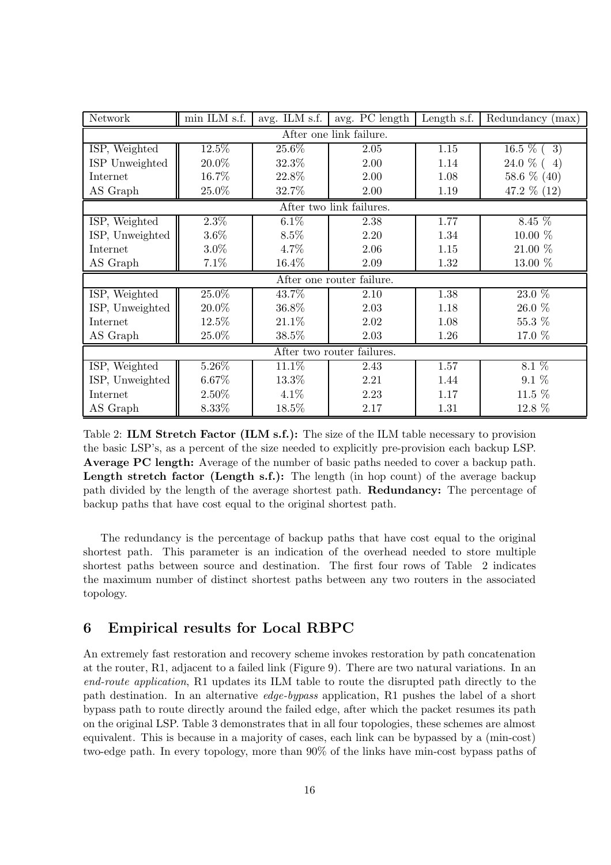| Network                    | min ILM s.f. | avg. ILM s.f. | avg. PC length | Length s.f. | Redundancy (max) |  |  |  |
|----------------------------|--------------|---------------|----------------|-------------|------------------|--|--|--|
| After one link failure.    |              |               |                |             |                  |  |  |  |
| ISP, Weighted              | 12.5%        | 25.6%         | 2.05           | 1.15        | 16.5 $%$ (<br>3) |  |  |  |
| ISP Unweighted             | 20.0%        | 32.3%         | 2.00           | 1.14        | $24.0\%$ (4)     |  |  |  |
| Internet                   | 16.7%        | 22.8%         | 2.00           | 1.08        | 58.6 % (40)      |  |  |  |
| AS Graph                   | $25.0\%$     | 32.7%         | 2.00           | 1.19        | 47.2 $\%$ (12)   |  |  |  |
| After two link failures.   |              |               |                |             |                  |  |  |  |
| ISP, Weighted              | $2.3\%$      | $6.1\%$       | 2.38           | 1.77        | $8.45\%$         |  |  |  |
| ISP, Unweighted            | $3.6\%$      | $8.5\%$       | 2.20           | 1.34        | 10.00 %          |  |  |  |
| Internet                   | 3.0%         | 4.7%          | 2.06           | 1.15        | 21.00 %          |  |  |  |
| AS Graph                   | 7.1%         | 16.4%         | 2.09           | 1.32        | 13.00 %          |  |  |  |
| After one router failure.  |              |               |                |             |                  |  |  |  |
| ISP, Weighted              | 25.0%        | 43.7%         | 2.10           | 1.38        | 23.0 %           |  |  |  |
| ISP, Unweighted            | 20.0%        | 36.8%         | 2.03           | 1.18        | 26.0 %           |  |  |  |
| Internet                   | 12.5%        | 21.1%         | 2.02           | 1.08        | 55.3 %           |  |  |  |
| AS Graph                   | 25.0%        | 38.5%         | 2.03           | 1.26        | 17.0 %           |  |  |  |
| After two router failures. |              |               |                |             |                  |  |  |  |
| ISP, Weighted              | 5.26%        | 11.1\%        | 2.43           | 1.57        | 8.1 $\sqrt{2}$   |  |  |  |
| ISP, Unweighted            | 6.67%        | 13.3%         | 2.21           | 1.44        | $9.1\%$          |  |  |  |
| Internet                   | 2.50%        | $4.1\%$       | 2.23           | 1.17        | 11.5 %           |  |  |  |
| AS Graph                   | 8.33%        | 18.5%         | 2.17           | 1.31        | 12.8 %           |  |  |  |

Table 2: **ILM Stretch Factor (ILM s.f.):** The size of the ILM table necessary to provision the basic LSP's, as a percent of the size needed to explicitly pre-provision each backup LSP. Average PC length: Average of the number of basic paths needed to cover a backup path. Length stretch factor (Length s.f.): The length (in hop count) of the average backup path divided by the length of the average shortest path. Redundancy: The percentage of backup paths that have cost equal to the original shortest path.

The redundancy is the percentage of backup paths that have cost equal to the original shortest path. This parameter is an indication of the overhead needed to store multiple shortest paths between source and destination. The first four rows of Table 2 indicates the maximum number of distinct shortest paths between any two routers in the associated topology.

# 6 Empirical results for Local RBPC

An extremely fast restoration and recovery scheme invokes restoration by path concatenation at the router, R1, adjacent to a failed link (Figure 9). There are two natural variations. In an end-route application, R1 updates its ILM table to route the disrupted path directly to the path destination. In an alternative edge-bypass application, R1 pushes the label of a short bypass path to route directly around the failed edge, after which the packet resumes its path on the original LSP. Table 3 demonstrates that in all four topologies, these schemes are almost equivalent. This is because in a majority of cases, each link can be bypassed by a (min-cost) two-edge path. In every topology, more than 90% of the links have min-cost bypass paths of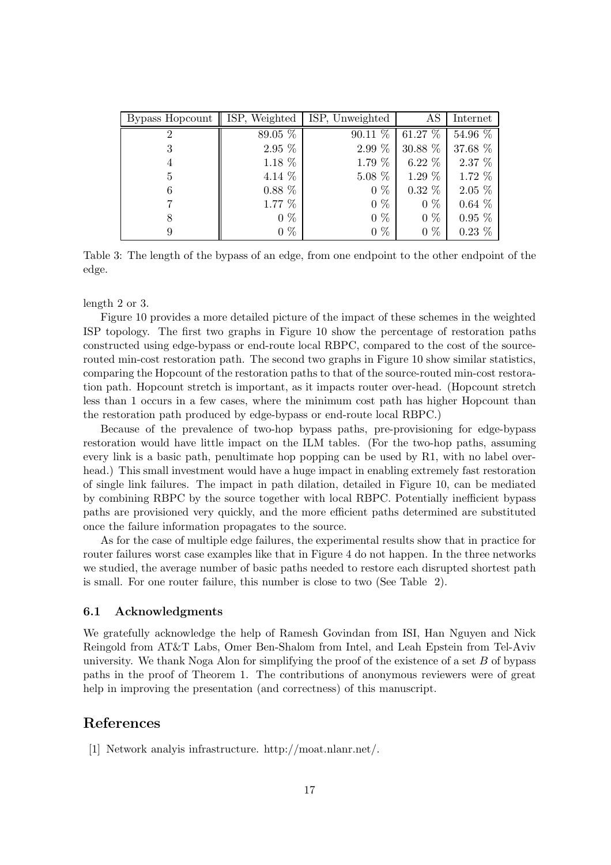| Bypass Hopcount    ISP, Weighted   ISP, Unweighted |          |           | AS       | Internet         |
|----------------------------------------------------|----------|-----------|----------|------------------|
|                                                    | 89.05 %  | $90.11\%$ | 61.27%   | 54.96 $\sqrt{2}$ |
| 3                                                  | $2.95\%$ | 2.99 %    | 30.88 %  | 37.68 %          |
| 4                                                  | 1.18 %   | 1.79 %    | $6.22\%$ | 2.37 %           |
| 5                                                  | 4.14 $%$ | $5.08\%$  | $1.29\%$ | 1.72 %           |
| 6                                                  | $0.88\%$ | $0\%$     | $0.32\%$ | $2.05\%$         |
|                                                    | 1.77 %   | $0\%$     | $0\%$    | $0.64\%$         |
| 8                                                  | $0\%$    | $0\%$     | $0\%$    | $0.95\%$         |
| 9                                                  | $0\%$    | $0\%$     | $0\%$    | $0.23\%$         |

Table 3: The length of the bypass of an edge, from one endpoint to the other endpoint of the edge.

length 2 or 3.

Figure 10 provides a more detailed picture of the impact of these schemes in the weighted ISP topology. The first two graphs in Figure 10 show the percentage of restoration paths constructed using edge-bypass or end-route local RBPC, compared to the cost of the sourcerouted min-cost restoration path. The second two graphs in Figure 10 show similar statistics, comparing the Hopcount of the restoration paths to that of the source-routed min-cost restoration path. Hopcount stretch is important, as it impacts router over-head. (Hopcount stretch less than 1 occurs in a few cases, where the minimum cost path has higher Hopcount than the restoration path produced by edge-bypass or end-route local RBPC.)

Because of the prevalence of two-hop bypass paths, pre-provisioning for edge-bypass restoration would have little impact on the ILM tables. (For the two-hop paths, assuming every link is a basic path, penultimate hop popping can be used by R1, with no label overhead.) This small investment would have a huge impact in enabling extremely fast restoration of single link failures. The impact in path dilation, detailed in Figure 10, can be mediated by combining RBPC by the source together with local RBPC. Potentially inefficient bypass paths are provisioned very quickly, and the more efficient paths determined are substituted once the failure information propagates to the source.

As for the case of multiple edge failures, the experimental results show that in practice for router failures worst case examples like that in Figure 4 do not happen. In the three networks we studied, the average number of basic paths needed to restore each disrupted shortest path is small. For one router failure, this number is close to two (See Table 2).

#### 6.1 Acknowledgments

We gratefully acknowledge the help of Ramesh Govindan from ISI, Han Nguyen and Nick Reingold from AT&T Labs, Omer Ben-Shalom from Intel, and Leah Epstein from Tel-Aviv university. We thank Noga Alon for simplifying the proof of the existence of a set  $B$  of bypass paths in the proof of Theorem 1. The contributions of anonymous reviewers were of great help in improving the presentation (and correctness) of this manuscript.

### References

[1] Network analyis infrastructure. http://moat.nlanr.net/.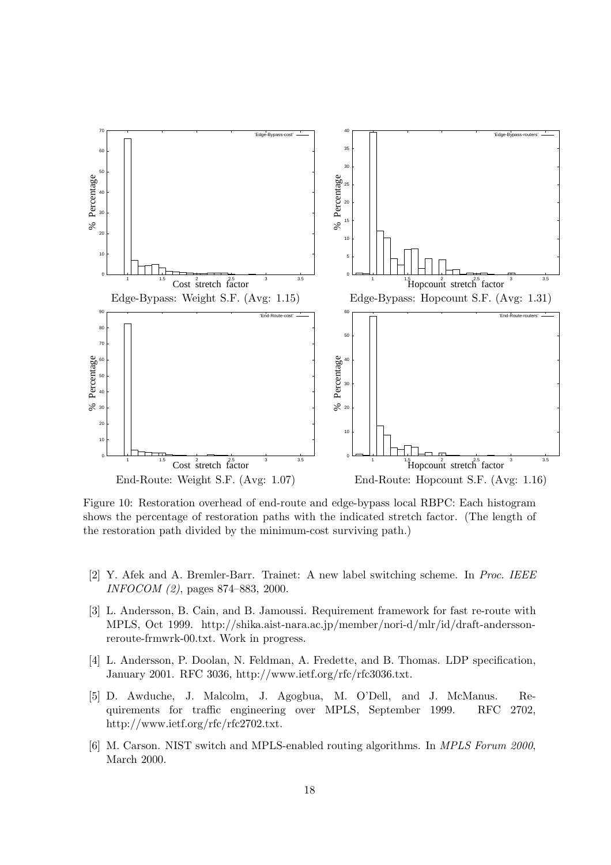

Figure 10: Restoration overhead of end-route and edge-bypass local RBPC: Each histogram shows the percentage of restoration paths with the indicated stretch factor. (The length of the restoration path divided by the minimum-cost surviving path.)

- [2] Y. Afek and A. Bremler-Barr. Trainet: A new label switching scheme. In Proc. IEEE INFOCOM (2), pages 874–883, 2000.
- [3] L. Andersson, B. Cain, and B. Jamoussi. Requirement framework for fast re-route with MPLS, Oct 1999. http://shika.aist-nara.ac.jp/member/nori-d/mlr/id/draft-anderssonreroute-frmwrk-00.txt. Work in progress.
- [4] L. Andersson, P. Doolan, N. Feldman, A. Fredette, and B. Thomas. LDP specification, January 2001. RFC 3036, http://www.ietf.org/rfc/rfc3036.txt.
- [5] D. Awduche, J. Malcolm, J. Agogbua, M. O'Dell, and J. McManus. Requirements for traffic engineering over MPLS, September 1999. RFC 2702, http://www.ietf.org/rfc/rfc2702.txt.
- [6] M. Carson. NIST switch and MPLS-enabled routing algorithms. In MPLS Forum 2000, March 2000.